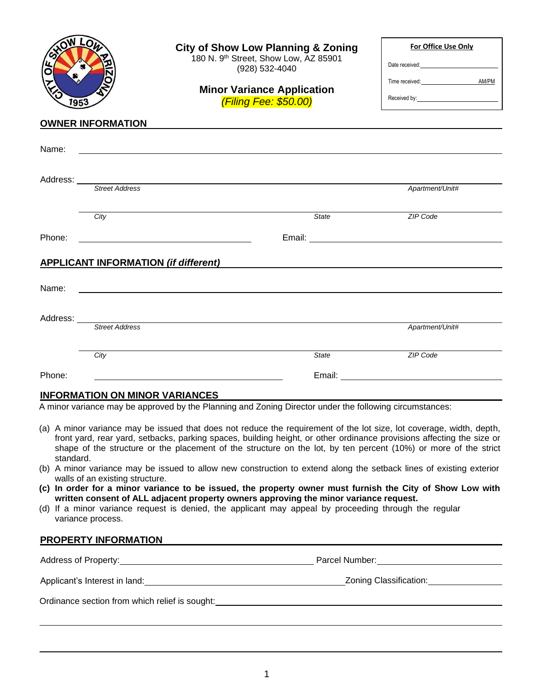| 1953                                                                                                                                                                                                                           | <b>OWNER INFORMATION</b>                             | <b>City of Show Low Planning &amp; Zoning</b><br>180 N. 9th Street, Show Low, AZ 85901<br>(928) 532-4040<br><b>Minor Variance Application</b><br>(Filing Fee: \$50.00)                                                                                                                                                                                                                                                                                                                                                                                                                                                                                                                                                                                                                                 | For Office Use Only<br>Date received:<br>Time received: <b>AM/PM</b>                                                                                                                                                           |  |
|--------------------------------------------------------------------------------------------------------------------------------------------------------------------------------------------------------------------------------|------------------------------------------------------|--------------------------------------------------------------------------------------------------------------------------------------------------------------------------------------------------------------------------------------------------------------------------------------------------------------------------------------------------------------------------------------------------------------------------------------------------------------------------------------------------------------------------------------------------------------------------------------------------------------------------------------------------------------------------------------------------------------------------------------------------------------------------------------------------------|--------------------------------------------------------------------------------------------------------------------------------------------------------------------------------------------------------------------------------|--|
| Name:                                                                                                                                                                                                                          |                                                      |                                                                                                                                                                                                                                                                                                                                                                                                                                                                                                                                                                                                                                                                                                                                                                                                        |                                                                                                                                                                                                                                |  |
|                                                                                                                                                                                                                                |                                                      | ,我们也不会有什么。""我们的人,我们也不会有什么?""我们的人,我们也不会有什么?""我们的人,我们也不会有什么?""我们的人,我们也不会有什么?""我们的人                                                                                                                                                                                                                                                                                                                                                                                                                                                                                                                                                                                                                                                                                                                       |                                                                                                                                                                                                                                |  |
|                                                                                                                                                                                                                                |                                                      | Address: <u>Street Address</u>                                                                                                                                                                                                                                                                                                                                                                                                                                                                                                                                                                                                                                                                                                                                                                         | Apartment/Unit#                                                                                                                                                                                                                |  |
|                                                                                                                                                                                                                                | City                                                 | State                                                                                                                                                                                                                                                                                                                                                                                                                                                                                                                                                                                                                                                                                                                                                                                                  | ZIP Code                                                                                                                                                                                                                       |  |
| Phone:                                                                                                                                                                                                                         |                                                      |                                                                                                                                                                                                                                                                                                                                                                                                                                                                                                                                                                                                                                                                                                                                                                                                        |                                                                                                                                                                                                                                |  |
|                                                                                                                                                                                                                                | <b>APPLICANT INFORMATION (if different)</b>          |                                                                                                                                                                                                                                                                                                                                                                                                                                                                                                                                                                                                                                                                                                                                                                                                        |                                                                                                                                                                                                                                |  |
|                                                                                                                                                                                                                                |                                                      |                                                                                                                                                                                                                                                                                                                                                                                                                                                                                                                                                                                                                                                                                                                                                                                                        |                                                                                                                                                                                                                                |  |
| Name:                                                                                                                                                                                                                          |                                                      | <u>some started and the started and the started and the started and the started and the started and the started and the started and the started and the started and the started and the started and the started and the started </u>                                                                                                                                                                                                                                                                                                                                                                                                                                                                                                                                                                   |                                                                                                                                                                                                                                |  |
|                                                                                                                                                                                                                                |                                                      |                                                                                                                                                                                                                                                                                                                                                                                                                                                                                                                                                                                                                                                                                                                                                                                                        |                                                                                                                                                                                                                                |  |
|                                                                                                                                                                                                                                | <b>Street Address</b>                                |                                                                                                                                                                                                                                                                                                                                                                                                                                                                                                                                                                                                                                                                                                                                                                                                        | Apartment/Unit#                                                                                                                                                                                                                |  |
|                                                                                                                                                                                                                                | City                                                 | State                                                                                                                                                                                                                                                                                                                                                                                                                                                                                                                                                                                                                                                                                                                                                                                                  | ZIP Code                                                                                                                                                                                                                       |  |
| Phone:                                                                                                                                                                                                                         |                                                      |                                                                                                                                                                                                                                                                                                                                                                                                                                                                                                                                                                                                                                                                                                                                                                                                        | Email: Email: Email: Email: Email: Email: Email: Email: Email: Email: Email: Email: Email: Email: Email: Email: Email: Email: Email: Email: Email: Email: Email: Email: Email: Email: Email: Email: Email: Email: Email: Email |  |
|                                                                                                                                                                                                                                | <b>INFORMATION ON MINOR VARIANCES</b>                |                                                                                                                                                                                                                                                                                                                                                                                                                                                                                                                                                                                                                                                                                                                                                                                                        |                                                                                                                                                                                                                                |  |
|                                                                                                                                                                                                                                |                                                      | A minor variance may be approved by the Planning and Zoning Director under the following circumstances:                                                                                                                                                                                                                                                                                                                                                                                                                                                                                                                                                                                                                                                                                                |                                                                                                                                                                                                                                |  |
| standard.                                                                                                                                                                                                                      | walls of an existing structure.<br>variance process. | (a) A minor variance may be issued that does not reduce the requirement of the lot size, lot coverage, width, depth,<br>front yard, rear yard, setbacks, parking spaces, building height, or other ordinance provisions affecting the size or<br>shape of the structure or the placement of the structure on the lot, by ten percent (10%) or more of the strict<br>(b) A minor variance may be issued to allow new construction to extend along the setback lines of existing exterior<br>(c) In order for a minor variance to be issued, the property owner must furnish the City of Show Low with<br>written consent of ALL adjacent property owners approving the minor variance request.<br>(d) If a minor variance request is denied, the applicant may appeal by proceeding through the regular |                                                                                                                                                                                                                                |  |
|                                                                                                                                                                                                                                |                                                      | PROPERTY INFORMATION EXAMPLE THE SERVICE SERVICE SERVICE SERVICE SERVICE SERVICE SERVICE SERVICE SERVICE SERVICE SERVICE SERVICE SERVICE SERVICE SERVICE SERVICE SERVICE SERVICE SERVICE SERVICE SERVICE SERVICE SERVICE SERVI                                                                                                                                                                                                                                                                                                                                                                                                                                                                                                                                                                         |                                                                                                                                                                                                                                |  |
|                                                                                                                                                                                                                                |                                                      |                                                                                                                                                                                                                                                                                                                                                                                                                                                                                                                                                                                                                                                                                                                                                                                                        |                                                                                                                                                                                                                                |  |
| Applicant's Interest in land: Note and the set of the set of the set of the set of the set of the set of the set of the set of the set of the set of the set of the set of the set of the set of the set of the set of the set |                                                      |                                                                                                                                                                                                                                                                                                                                                                                                                                                                                                                                                                                                                                                                                                                                                                                                        | Zoning Classification: National Clare Control of Tennis                                                                                                                                                                        |  |

Ordinance section from which relief is sought:<br>
<u>Discussion of the soughting</u> contains a section of the section which relief is sought: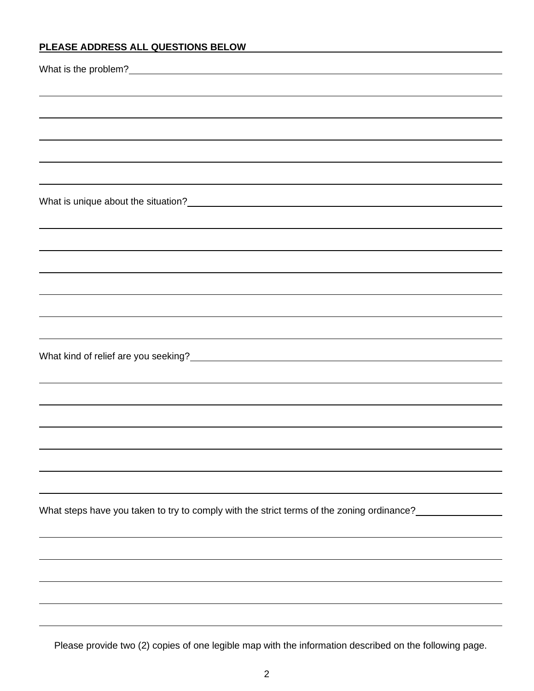# **PLEASE ADDRESS ALL QUESTIONS BELOW**

| ,我们也不会有什么。""我们的人,我们也不会有什么?""我们的人,我们也不会有什么?""我们的人,我们也不会有什么?""我们的人,我们也不会有什么?""我们的人                           |
|------------------------------------------------------------------------------------------------------------|
|                                                                                                            |
|                                                                                                            |
|                                                                                                            |
|                                                                                                            |
| What is unique about the situation?<br><u> What is unique about the situation?</u>                         |
|                                                                                                            |
|                                                                                                            |
|                                                                                                            |
|                                                                                                            |
|                                                                                                            |
|                                                                                                            |
|                                                                                                            |
|                                                                                                            |
|                                                                                                            |
|                                                                                                            |
|                                                                                                            |
|                                                                                                            |
|                                                                                                            |
| What steps have you taken to try to comply with the strict terms of the zoning ordinance?_________________ |
|                                                                                                            |
|                                                                                                            |
|                                                                                                            |
|                                                                                                            |
|                                                                                                            |

Please provide two (2) copies of one legible map with the information described on the following page.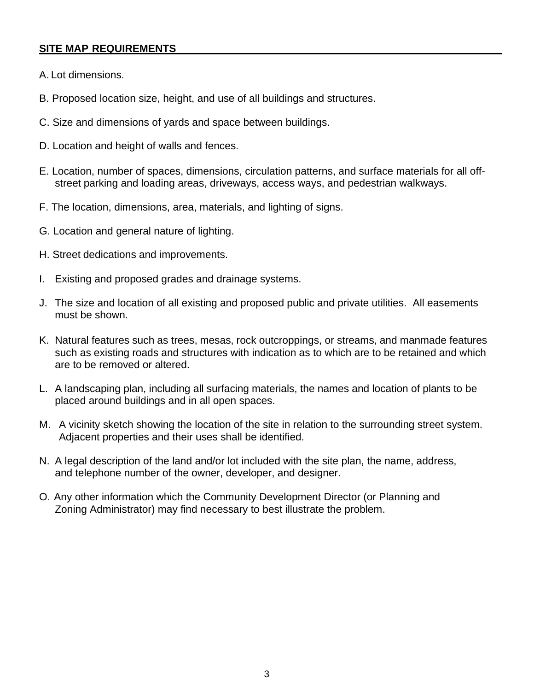## **SITE MAP REQUIREMENTS**

- A. Lot dimensions.
- B. Proposed location size, height, and use of all buildings and structures.
- C. Size and dimensions of yards and space between buildings.
- D. Location and height of walls and fences.
- E. Location, number of spaces, dimensions, circulation patterns, and surface materials for all offstreet parking and loading areas, driveways, access ways, and pedestrian walkways.
- F. The location, dimensions, area, materials, and lighting of signs.
- G. Location and general nature of lighting.
- H. Street dedications and improvements.
- I. Existing and proposed grades and drainage systems.
- J. The size and location of all existing and proposed public and private utilities. All easements must be shown.
- K. Natural features such as trees, mesas, rock outcroppings, or streams, and manmade features such as existing roads and structures with indication as to which are to be retained and which are to be removed or altered.
- L. A landscaping plan, including all surfacing materials, the names and location of plants to be placed around buildings and in all open spaces.
- M. A vicinity sketch showing the location of the site in relation to the surrounding street system. Adjacent properties and their uses shall be identified.
- N. A legal description of the land and/or lot included with the site plan, the name, address, and telephone number of the owner, developer, and designer.
- O. Any other information which the Community Development Director (or Planning and Zoning Administrator) may find necessary to best illustrate the problem.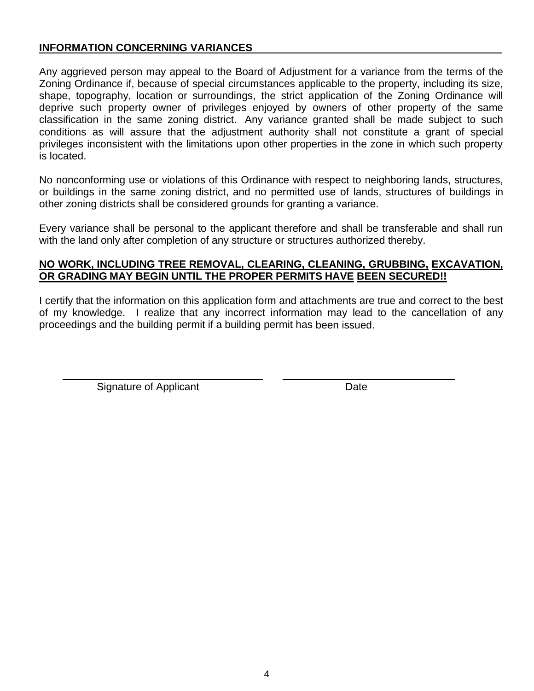## **INFORMATION CONCERNING VARIANCES**

Any aggrieved person may appeal to the Board of Adjustment for a variance from the terms of the Zoning Ordinance if, because of special circumstances applicable to the property, including its size, shape, topography, location or surroundings, the strict application of the Zoning Ordinance will deprive such property owner of privileges enjoyed by owners of other property of the same classification in the same zoning district. Any variance granted shall be made subject to such conditions as will assure that the adjustment authority shall not constitute a grant of special privileges inconsistent with the limitations upon other properties in the zone in which such property is located.

No nonconforming use or violations of this Ordinance with respect to neighboring lands, structures, or buildings in the same zoning district, and no permitted use of lands, structures of buildings in other zoning districts shall be considered grounds for granting a variance.

Every variance shall be personal to the applicant therefore and shall be transferable and shall run with the land only after completion of any structure or structures authorized thereby.

## **NO WORK, INCLUDING TREE REMOVAL, CLEARING, CLEANING, GRUBBING, EXCAVATION, OR GRADING MAY BEGIN UNTIL THE PROPER PERMITS HAVE BEEN SECURED!!**

I certify that the information on this application form and attachments are true and correct to the best of my knowledge. I realize that any incorrect information may lead to the cancellation of any proceedings and the building permit if a building permit has been issued.

Signature of Applicant Date Date